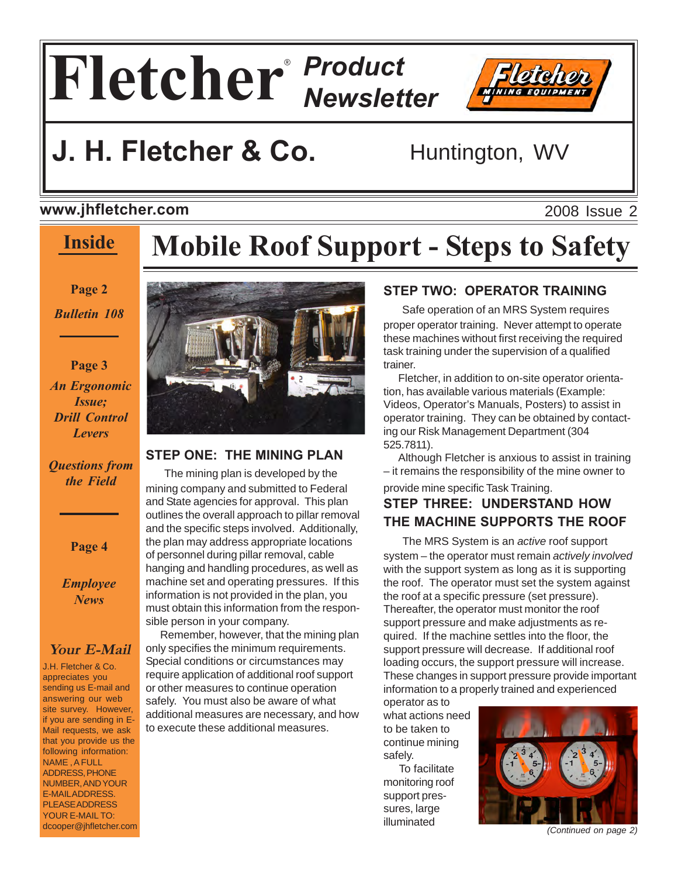# **Fletcher** *Product Newsletter* ®



### **www.jhfletcher.com**

## **Inside**

# **Mobile Roof Support - Steps to Safety**

**Page 2**

*Bulletin 108*

**Page 3** *An Ergonomic Issue; Drill Control Levers*

### *Questions from the Field*

**Page 4**

*Employee News*

### **Your E-Mail**

J.H. Fletcher & Co. appreciates you sending us E-mail and answering our web site survey. However, if you are sending in E-Mail requests, we ask that you provide us the following information: NAME , A FULL ADDRESS, PHONE NUMBER, AND YOUR E-MAIL ADDRESS. PLEASE ADDRESS YOUR E-MAIL TO: dcooper@jhfletcher.com



### **STEP ONE: THE MINING PLAN**

 The mining plan is developed by the mining company and submitted to Federal and State agencies for approval. This plan outlines the overall approach to pillar removal and the specific steps involved. Additionally, the plan may address appropriate locations of personnel during pillar removal, cable hanging and handling procedures, as well as machine set and operating pressures. If this information is not provided in the plan, you must obtain this information from the responsible person in your company.

 Remember, however, that the mining plan only specifies the minimum requirements. Special conditions or circumstances may require application of additional roof support or other measures to continue operation safely. You must also be aware of what additional measures are necessary, and how to execute these additional measures.

### **STEP TWO: OPERATOR TRAINING**

 Safe operation of an MRS System requires proper operator training. Never attempt to operate these machines without first receiving the required task training under the supervision of a qualified trainer.

 Fletcher, in addition to on-site operator orientation, has available various materials (Example: Videos, Operator's Manuals, Posters) to assist in operator training. They can be obtained by contacting our Risk Management Department (304 525.7811).

 Although Fletcher is anxious to assist in training – it remains the responsibility of the mine owner to provide mine specific Task Training.

### **STEP THREE: UNDERSTAND HOW THE MACHINE SUPPORTS THE ROOF**

 The MRS System is an *active* roof support system – the operator must remain *actively involved* with the support system as long as it is supporting the roof. The operator must set the system against the roof at a specific pressure (set pressure). Thereafter, the operator must monitor the roof support pressure and make adjustments as required. If the machine settles into the floor, the support pressure will decrease. If additional roof loading occurs, the support pressure will increase. These changes in support pressure provide important information to a properly trained and experienced

operator as to what actions need to be taken to continue mining safely.

 To facilitate monitoring roof support pressures, large illuminated



*(Continued on page 2)*

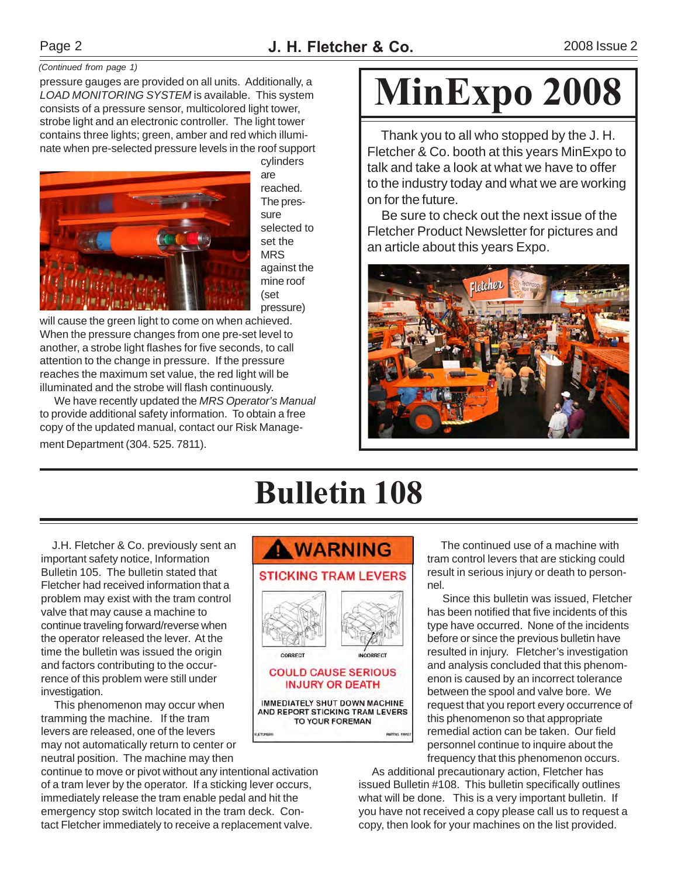### *(Continued from page 1)*

pressure gauges are provided on all units. Additionally, a *LOAD MONITORING SYSTEM* is available. This system consists of a pressure sensor, multicolored light tower, strobe light and an electronic controller. The light tower contains three lights; green, amber and red which illuminate when pre-selected pressure levels in the roof support



cylinders are reached. The pressure selected to set the MRS against the mine roof (set pressure)

will cause the green light to come on when achieved. When the pressure changes from one pre-set level to another, a strobe light flashes for five seconds, to call attention to the change in pressure. If the pressure reaches the maximum set value, the red light will be illuminated and the strobe will flash continuously.

 We have recently updated the *MRS Operator's Manual* to provide additional safety information. To obtain a free copy of the updated manual, contact our Risk Management Department (304. 525. 7811).

# **MinExpo 2008**

 Thank you to all who stopped by the J. H. Fletcher & Co. booth at this years MinExpo to talk and take a look at what we have to offer to the industry today and what we are working on for the future.

 Be sure to check out the next issue of the Fletcher Product Newsletter for pictures and an article about this years Expo.



# **Bulletin 108**

 J.H. Fletcher & Co. previously sent an important safety notice, Information Bulletin 105. The bulletin stated that Fletcher had received information that a problem may exist with the tram control valve that may cause a machine to continue traveling forward/reverse when the operator released the lever. At the time the bulletin was issued the origin and factors contributing to the occurrence of this problem were still under investigation.

 This phenomenon may occur when tramming the machine. If the tram levers are released, one of the levers may not automatically return to center or neutral position. The machine may then

continue to move or pivot without any intentional activation of a tram lever by the operator. If a sticking lever occurs, immediately release the tram enable pedal and hit the emergency stop switch located in the tram deck. Contact Fletcher immediately to receive a replacement valve.



 The continued use of a machine with tram control levers that are sticking could result in serious injury or death to personnel.

 Since this bulletin was issued, Fletcher has been notified that five incidents of this type have occurred. None of the incidents before or since the previous bulletin have resulted in injury. Fletcher's investigation and analysis concluded that this phenomenon is caused by an incorrect tolerance between the spool and valve bore. We request that you report every occurrence of this phenomenon so that appropriate remedial action can be taken. Our field personnel continue to inquire about the frequency that this phenomenon occurs.

 As additional precautionary action, Fletcher has issued Bulletin #108. This bulletin specifically outlines what will be done. This is a very important bulletin. If you have not received a copy please call us to request a copy, then look for your machines on the list provided.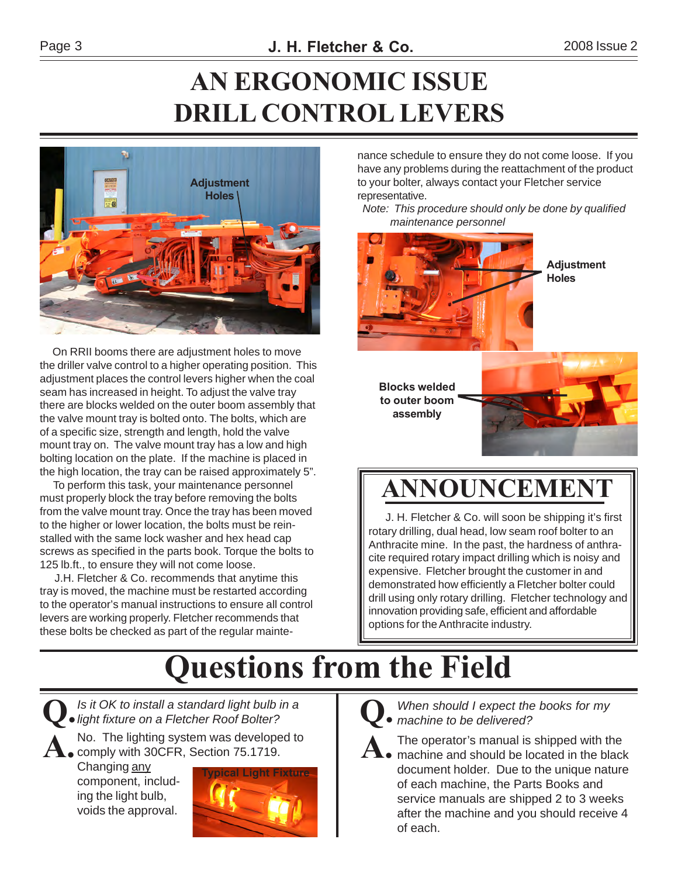# **AN ERGONOMIC ISSUE DRILL CONTROL LEVERS**



 On RRII booms there are adjustment holes to move the driller valve control to a higher operating position. This adjustment places the control levers higher when the coal seam has increased in height. To adjust the valve tray there are blocks welded on the outer boom assembly that the valve mount tray is bolted onto. The bolts, which are of a specific size, strength and length, hold the valve mount tray on. The valve mount tray has a low and high bolting location on the plate. If the machine is placed in the high location, the tray can be raised approximately 5".

 To perform this task, your maintenance personnel must properly block the tray before removing the bolts from the valve mount tray. Once the tray has been moved to the higher or lower location, the bolts must be reinstalled with the same lock washer and hex head cap screws as specified in the parts book. Torque the bolts to 125 lb.ft., to ensure they will not come loose.

 J.H. Fletcher & Co. recommends that anytime this tray is moved, the machine must be restarted according to the operator's manual instructions to ensure all control levers are working properly. Fletcher recommends that these bolts be checked as part of the regular maintenance schedule to ensure they do not come loose. If you have any problems during the reattachment of the product to your bolter, always contact your Fletcher service representative.

 *Note: This procedure should only be done by qualified maintenance personnel*



**Blocks welded to outer boom assembly**



# **ANNOUNCEMENT**

 J. H. Fletcher & Co. will soon be shipping it's first rotary drilling, dual head, low seam roof bolter to an Anthracite mine. In the past, the hardness of anthracite required rotary impact drilling which is noisy and expensive. Fletcher brought the customer in and demonstrated how efficiently a Fletcher bolter could drill using only rotary drilling. Fletcher technology and innovation providing safe, efficient and affordable options for the Anthracite industry.

# **Questions from the Field**

**Q.***Is it OK to install a standard light bulb in a light fixture on a Fletcher Roof Bolter?* A. No. The lighting system was developed to<br> **A.** comply with 30CFR, Section 75.1719.

Changing any component, including the light bulb, voids the approval.





*When should I expect the books for my machine to be delivered?*

The operator's manual is shipped with the

**A.** machine and should be located in the black document holder. Due to the unique nature of each machine, the Parts Books and service manuals are shipped 2 to 3 weeks after the machine and you should receive 4 of each.